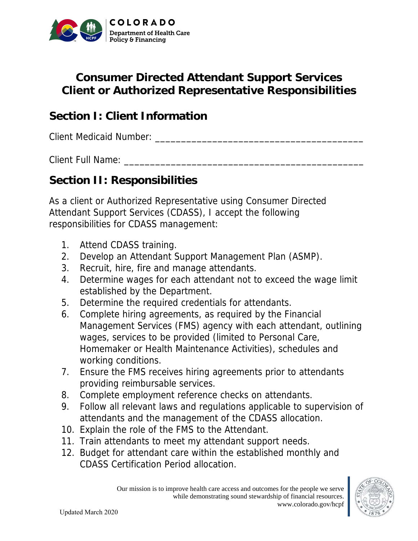

## **Consumer Directed Attendant Support Services Client or Authorized Representative Responsibilities**

## **Section I: Client Information**

Client Medicaid Number: **Example 2018** 

Client Full Name:

## **Section II: Responsibilities**

As a client or Authorized Representative using Consumer Directed Attendant Support Services (CDASS), I accept the following responsibilities for CDASS management:

- 1. Attend CDASS training.
- 2. Develop an Attendant Support Management Plan (ASMP).
- 3. Recruit, hire, fire and manage attendants.
- 4. Determine wages for each attendant not to exceed the wage limit established by the Department.
- 5. Determine the required credentials for attendants.
- 6. Complete hiring agreements, as required by the Financial Management Services (FMS) agency with each attendant, outlining wages, services to be provided (limited to Personal Care, Homemaker or Health Maintenance Activities), schedules and working conditions.
- 7. Ensure the FMS receives hiring agreements prior to attendants providing reimbursable services.
- 8. Complete employment reference checks on attendants.
- 9. Follow all relevant laws and regulations applicable to supervision of attendants and the management of the CDASS allocation.
- 10. Explain the role of the FMS to the Attendant.
- 11. Train attendants to meet my attendant support needs.
- 12. Budget for attendant care within the established monthly and CDASS Certification Period allocation.